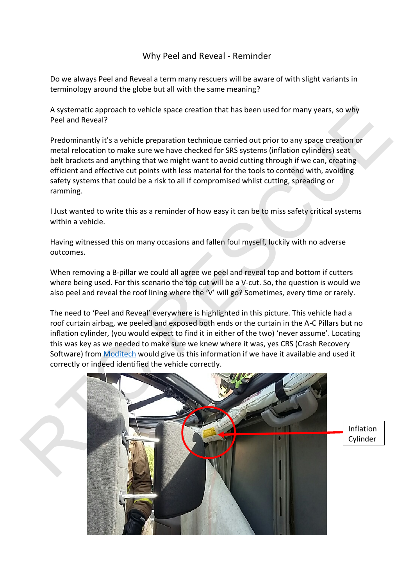## Why Peel and Reveal - Reminder

Do we always Peel and Reveal a term many rescuers will be aware of with slight variants in terminology around the globe but all with the same meaning?

A systematic approach to vehicle space creation that has been used for many years, so why Peel and Reveal?

Predominantly it's a vehicle preparation technique carried out prior to any space creation or metal relocation to make sure we have checked for SRS systems (inflation cylinders) seat belt brackets and anything that we might want to avoid cutting through if we can, creating efficient and effective cut points with less material for the tools to contend with, avoiding safety systems that could be a risk to all if compromised whilst cutting, spreading or ramming.

I Just wanted to write this as a reminder of how easy it can be to miss safety critical systems within a vehicle.

Having witnessed this on many occasions and fallen foul myself, luckily with no adverse outcomes.

When removing a B-pillar we could all agree we peel and reveal top and bottom if cutters where being used. For this scenario the top cut will be a V-cut. So, the question is would we also peel and reveal the roof lining where the 'V' will go? Sometimes, every time or rarely.

The need to 'Peel and Reveal' everywhere is highlighted in this picture. This vehicle had a roof curtain airbag, we peeled and exposed both ends or the curtain in the A-C Pillars but no inflation cylinder, (you would expect to find it in either of the two) 'never assume'. Locating this was key as we needed to make sure we knew where it was, yes CRS (Crash Recovery Software) from Moditech would give us this information if we have it available and used it correctly or indeed identified the vehicle correctly.